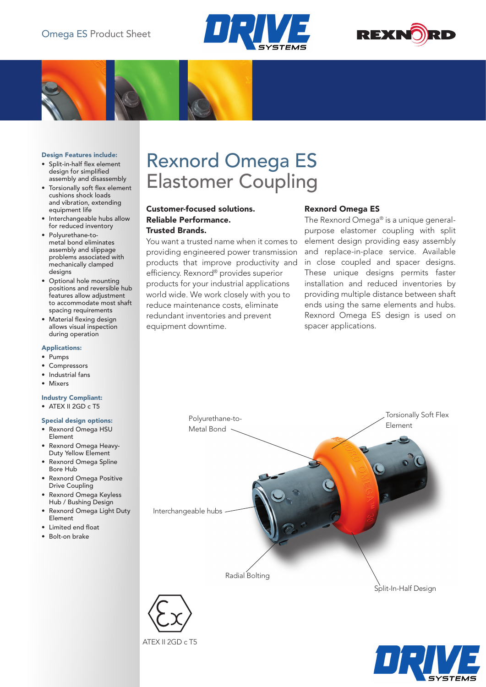



#### Design Features include:

- • Split-in-half flex element design for simplified assembly and disassembly
- Torsionally soft flex element cushions shock loads and vibration, extending equipment life
- • Interchangeable hubs allow for reduced inventory
- Polyurethane-tometal bond eliminates assembly and slippage problems associated with mechanically clamped desians
- • Optional hole mounting positions and reversible hub features allow adjustment to accommodate most shaft spacing requirements
- • Material flexing design allows visual inspection during operation

#### Applications:

- • Pumps
- **Compressors**
- Industrial fans
- • Mixers

### Industry Compliant:

 $\bullet$  ATEX II 2GD c T5

#### Special design options:

- • Rexnord Omega HSU Element
- • Rexnord Omega Heavy-Duty Yellow Element
- • Rexnord Omega Spline Bore Hub
- • Rexnord Omega Positive Drive Coupling
- Rexnord Omega Keyless Hub / Bushing Design
- **Rexnord Omega Light Duty** Element
- • Limited end float
- Bolt-on brake

# Rexnord Omega ES Elastomer Coupling

# Customer-focused solutions. Reliable Performance. Trusted Brands.

You want a trusted name when it comes to providing engineered power transmission products that improve productivity and efficiency. Rexnord® provides superior products for your industrial applications world wide. We work closely with you to reduce maintenance costs, eliminate redundant inventories and prevent equipment downtime.

## Rexnord Omega ES

The Rexnord Omega® is a unique generalpurpose elastomer coupling with split element design providing easy assembly and replace-in-place service. Available in close coupled and spacer designs. These unique designs permits faster installation and reduced inventories by providing multiple distance between shaft ends using the same elements and hubs. Rexnord Omega ES design is used on spacer applications.